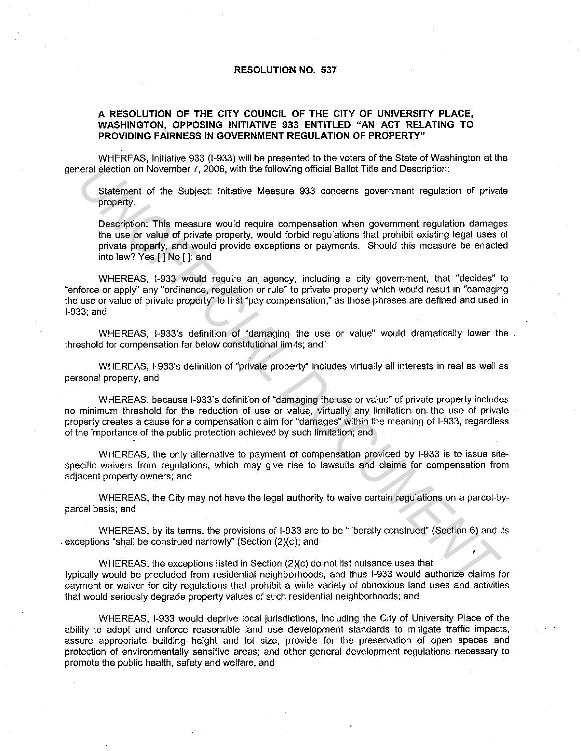## **RESOLUTION NO. 537**

## **A RESOLUTION OF THE CITY COUNCIL OF THE CITY OF UNIVERSITY PLACE, WASHINGTON, OPPOSING INITIATIVE 933 ENTITLED "AN ACT RELATING TO PROVIDING FAIRNESS IN GOVERNMENT REGULATION OF PROPERTY"**

WHEREAS, Initiative 933 (1-933) will be presented to the voters of the State of Washington at the general election on November 7, 2006, with the following official Ballot Title and Description:

Statement of the Subject: Initiative Measure 933 concerns government regulation of private property.

Description: This measure would require compensation when government regulation damages the use or value of private property, would forbid regulations that prohibit existing legal uses of private property, and would provide exceptions or payments. Should this measure be enacted into law? Yes [] No [ ]: and

WHEREAS, 1-933 would require an agency, including a city government, that "decides" to "enforce or apply" any "ordinance, regulation or rule" to private property which would result in "damaging the use or value of private property" to first "pay compensation," as those phrases are defined and used in 1-933; and oral election on November 7, 2006, with the following official Ballot Title and Description:<br>
Statement of the Subject: Initialive Measure 933 concerns government regulation of prival<br>
property.<br>
Description: This measure

WHEREAS, l-933's definition of "damaging the use or value" would dramatically lower the threshold for compensation far below constitutional limits; and

WHEREAS, l-933's definition of "private property'' includes virtually all interests in real as well as personal property, and

WHEREAS, because l-933's definition of "damaging the use or value" of private property includes no minimum threshold for the reduction of use or value, virtually any limitation on the use of private. property creates a cause for a compensation claim for "damages" within the meaning of 1-933, regardless of the importance of the public protection achieved by such limitation; and

WHEREAS, the only alternative to payment of compensation provided by 1-933 is to issue sitespecific waivers from regulations, which may give rise to lawsuits and claims for compensation from adjacent property owners; and

WHEREAS, the City may not have the legal authority to waive certain regulations on a parcel-byparcel basis; and

WHEREAS, by its terms, the provisions of 1-933 are to be "liberally construed" (Section 6) and its exceptions "shall be construed narrowly'' (Section (2)(c); and

' WHEREAS, the exceptions listed in Section (2)(c) do not list nuisance uses that typically would be precluded from residential neighborhoods, and thus 1-933 would authorize claims for payment or waiver for city regulations that prohibit a wide variety of obnoxious land uses and activities that would seriously degrade property values of such residential neighborhoods; and

WHEREAS, 1-933 would deprive local jurisdictions, including the City of University Place of the ability to adopt and enforce reasonable land use development standards to mitigate traffic impacts, assure appropriate building height and lot size, provide for the preservation of open spaces and protection of environmentally sensitive areas; and other general development regulations necessary to promote the public health, safely and welfare, and